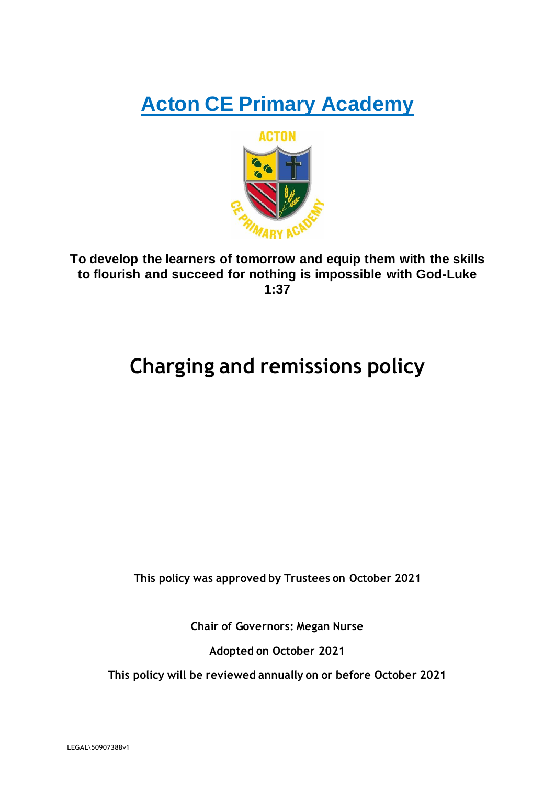# **Acton CE Primary Academy**



**To develop the learners of tomorrow and equip them with the skills to flourish and succeed for nothing is impossible with God-Luke 1:37**

## **Charging and remissions policy**

**This policy was approved by Trustees on October 2021**

**Chair of Governors: Megan Nurse**

**Adopted on October 2021**

**This policy will be reviewed annually on or before October 2021**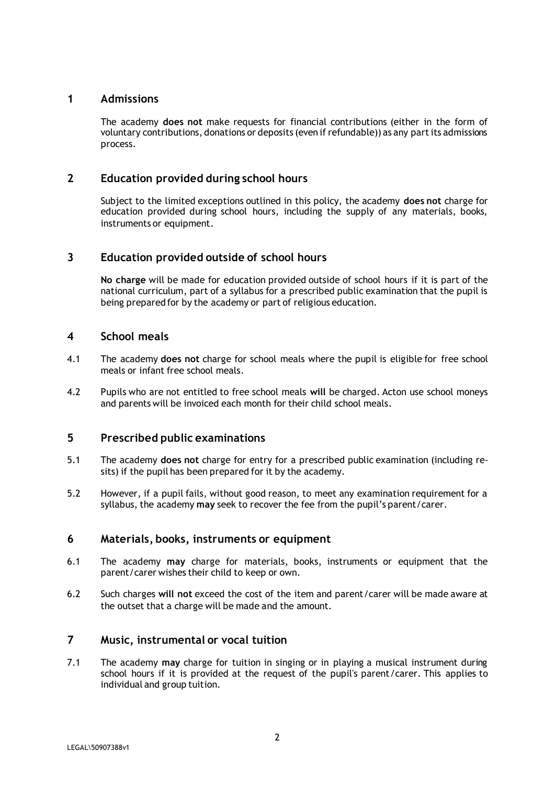## **1 Admissions**

The academy **does not** make requests for financial contributions (either in the form of voluntary contributions, donations or deposits (even if refundable)) as any part its admissions process.

## **2 Education provided during school hours**

Subject to the limited exceptions outlined in this policy, the academy **does not** charge for education provided during school hours, including the supply of any materials, books, instruments or equipment.

## **3 Education provided outside of school hours**

**No charge** will be made for education provided outside of school hours if it is part of the national curriculum, part of a syllabus for a prescribed public examination that the pupil is being prepared for by the academy or part of religious education.

### **4 School meals**

- 4.1 The academy **does not** charge for school meals where the pupil is eligible for free school meals or infant free school meals.
- 4.2 Pupils who are not entitled to free school meals **will** be charged. Acton use school moneys and parents will be invoiced each month for their child school meals.

### **5 Prescribed public examinations**

- 5.1 The academy **does not** charge for entry for a prescribed public examination (including resits) if the pupil has been prepared for it by the academy.
- 5.2 However, if a pupil fails, without good reason, to meet any examination requirement for a syllabus, the academy **may** seek to recover the fee from the pupil's parent/carer.

### **6 Materials, books, instruments or equipment**

- 6.1 The academy **may** charge for materials, books, instruments or equipment that the parent/carer wishes their child to keep or own.
- 6.2 Such charges **will not** exceed the cost of the item and parent/carer will be made aware at the outset that a charge will be made and the amount.

## **7 Music, instrumental or vocal tuition**

7.1 The academy **may** charge for tuition in singing or in playing a musical instrument during school hours if it is provided at the request of the pupil's parent/carer. This applies to individual and group tuition.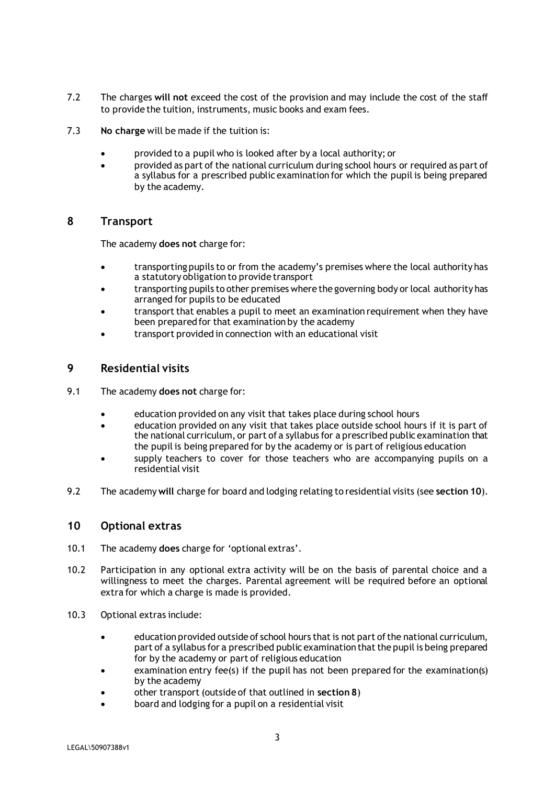- 7.2 The charges **will not** exceed the cost of the provision and may include the cost of the staff to provide the tuition, instruments, music books and exam fees.
- 7.3 **No charge** will be made if the tuition is:
	- provided to a pupil who is looked after by a local authority; or
	- provided as part of the national curriculum during school hours or required as part of a syllabus for a prescribed public examination for which the pupil is being prepared by the academy.

#### **8 Transport**

The academy **does not** charge for:

- transporting pupils to or from the academy's premises where the local authority has a statutory obligation to provide transport
- transporting pupils to other premises where the governing body or local authority has arranged for pupils to be educated
- transport that enables a pupil to meet an examination requirement when they have been prepared for that examination by the academy
- transport provided in connection with an educational visit

## **9 Residential visits**

- 9.1 The academy **does not** charge for:
	- education provided on any visit that takes place during school hours
	- education provided on any visit that takes place outside school hours if it is part of the national curriculum, or part of a syllabus for a prescribed public examination that the pupil is being prepared for by the academy or is part of religious education
	- supply teachers to cover for those teachers who are accompanying pupils on a residential visit
- 9.2 The academy **will** charge for board and lodging relating to residential visits (see **section 10**).

### **10 Optional extras**

- 10.1 The academy **does** charge for 'optional extras'.
- 10.2 Participation in any optional extra activity will be on the basis of parental choice and a willingness to meet the charges. Parental agreement will be required before an optional extra for which a charge is made is provided.
- 10.3 Optional extras include:
	- education provided outside of school hours that is not part of the national curriculum, part of a syllabus for a prescribed public examination that the pupil is being prepared for by the academy or part of religious education
	- examination entry fee(s) if the pupil has not been prepared for the examination(s) by the academy
	- other transport (outside of that outlined in **section 8**)
	- board and lodging for a pupil on a residential visit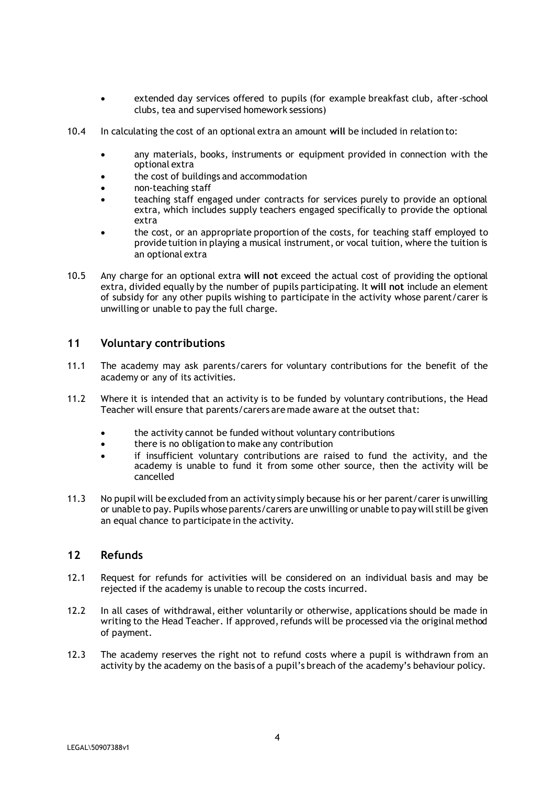- extended day services offered to pupils (for example breakfast club, after-school clubs, tea and supervised homework sessions)
- 10.4 In calculating the cost of an optional extra an amount **will** be included in relation to:
	- any materials, books, instruments or equipment provided in connection with the optional extra
	- the cost of buildings and accommodation
	- non-teaching staff
	- teaching staff engaged under contracts for services purely to provide an optional extra, which includes supply teachers engaged specifically to provide the optional extra
	- the cost, or an appropriate proportion of the costs, for teaching staff employed to provide tuition in playing a musical instrument, or vocal tuition, where the tuition is an optional extra
- 10.5 Any charge for an optional extra **will not** exceed the actual cost of providing the optional extra, divided equally by the number of pupils participating. It **will not** include an element of subsidy for any other pupils wishing to participate in the activity whose parent/carer is unwilling or unable to pay the full charge.

#### **11 Voluntary contributions**

- 11.1 The academy may ask parents/carers for voluntary contributions for the benefit of the academy or any of its activities.
- 11.2 Where it is intended that an activity is to be funded by voluntary contributions, the Head Teacher will ensure that parents/carers are made aware at the outset that:
	- the activity cannot be funded without voluntary contributions
	- there is no obligation to make any contribution
	- if insufficient voluntary contributions are raised to fund the activity, and the academy is unable to fund it from some other source, then the activity will be cancelled
- 11.3 No pupil will be excluded from an activity simply because his or her parent/carer is unwilling or unable to pay. Pupils whose parents/carers are unwilling or unable to pay will still be given an equal chance to participate in the activity.

#### **12 Refunds**

- 12.1 Request for refunds for activities will be considered on an individual basis and may be rejected if the academy is unable to recoup the costs incurred.
- 12.2 In all cases of withdrawal, either voluntarily or otherwise, applications should be made in writing to the Head Teacher. If approved, refunds will be processed via the original method of payment.
- 12.3 The academy reserves the right not to refund costs where a pupil is withdrawn from an activity by the academy on the basis of a pupil's breach of the academy's behaviour policy.